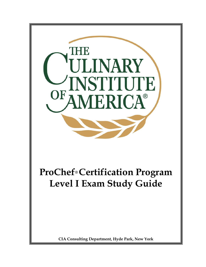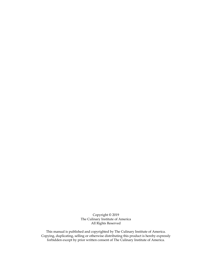Copyright © 2019 The Culinary Institute of America All Rights Reserved

This manual is published and copyrighted by The Culinary Institute of America. Copying, duplicating, selling or otherwise distributing this product is hereby expressly forbidden except by prior written consent of The Culinary Institute of America.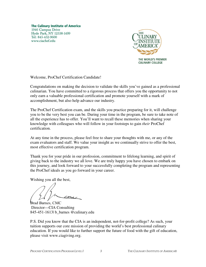**The Culinary Institute of America** 1946 Campus Drive Hyde Park, NY 12538-1499 Tel: 845-452-9600 www.ciachef.edu



Welcome, ProChef Certification Candidate!

Congratulations on making the decision to validate the skills you've gained as a professional culinarian. You have committed to a rigorous process that offers you the opportunity to not only earn a valuable professional certification and promote yourself with a mark of accomplishment, but also help advance our industry.

The ProChef Certification exam, and the skills you practice preparing for it, will challenge you to be the very best you can be. During your time in the program, be sure to take note of all the experience has to offer. You'll want to recall these memories when sharing your knowledge with colleagues who will follow in your footsteps to gain *their* ProChef certification.

At any time in the process, please feel free to share your thoughts with me, or any of the exam evaluators and staff. We value your insight as we continually strive to offer the best, most effective certification program.

Thank you for your pride in our profession, commitment to lifelong learning, and spirit of giving back to the industry we all love. We are truly happy you have chosen to embark on this journey, and look forward to your successfully completing the program and representing the ProChef ideals as you go forward in your career.

Wishing you all the best,

 $cm\overline{\mathcal{L}}$ 

Brad Barnes, CMC Director—CIA Consulting 845-451-1613| b\_barnes @culinary.edu

P.S. Did you know that the CIA is an independent, not-for-profit college? As such, your tuition supports our core mission of providing the world's best professional culinary education. If you would like to further support the future of food with the gift of education, please visit www.ciagiving.org.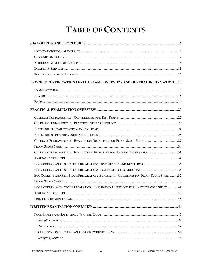# **TABLE OF CONTENTS**

| PROCHEF CERTIFICATION LEVEL I EXAM: OVERVIEW AND GENERAL INFORMATION  13               |  |
|----------------------------------------------------------------------------------------|--|
|                                                                                        |  |
|                                                                                        |  |
|                                                                                        |  |
|                                                                                        |  |
|                                                                                        |  |
|                                                                                        |  |
|                                                                                        |  |
|                                                                                        |  |
|                                                                                        |  |
|                                                                                        |  |
| CULINARY FUNDAMENTALS: EVALUATION GUIDELINES FOR TASTING SCORE SHEET31                 |  |
|                                                                                        |  |
|                                                                                        |  |
|                                                                                        |  |
| EGG COOKERY AND FISH STOCK PREPARATION: EVALUATION GUIDELINES FOR FLOOR SCORE SHEETS37 |  |
|                                                                                        |  |
| EGG COOKERY, AND STOCK PREPARATION: EVALUATION GUIDELINES FOR TASTING SCORE SHEET41    |  |
|                                                                                        |  |
|                                                                                        |  |
|                                                                                        |  |
|                                                                                        |  |
|                                                                                        |  |
|                                                                                        |  |
|                                                                                        |  |
|                                                                                        |  |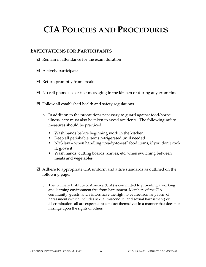# **CIA POLICIES AND PROCEDURES**

### **EXPECTATIONS FOR PARTICIPANTS**

- $\boxtimes$  Remain in attendance for the exam duration
- $\boxtimes$  Actively participate
- $\boxtimes$  Return promptly from breaks
- $\boxtimes$  No cell phone use or text messaging in the kitchen or during any exam time
- $\boxtimes$  Follow all established health and safety regulations
	- o In addition to the precautions necessary to guard against food-borne illness, care must also be taken to avoid accidents. The following safety measures should be practiced.
		- Wash hands before beginning work in the kitchen
		- Keep all perishable items refrigerated until needed
		- NYS law when handling "ready-to-eat" food items, if you don't cook it, glove it!
		- Wash hands, cutting boards, knives, etc. when switching between meats and vegetables
- $\boxtimes$  Adhere to appropriate CIA uniform and attire standards as outlined on the following page.
	- o The Culinary Institute of America (CIA) is committed to providing a working and learning environment free from harassment. Members of the CIA community, guests, and visitors have the right to be free from any form of harassment (which includes sexual misconduct and sexual harassment) or discrimination; all are expected to conduct themselves in a manner that does not infringe upon the rights of others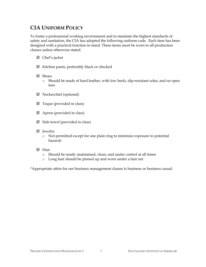# **CIA UNIFORM POLICY**

To foster a professional working environment and to maintain the highest standards of safety and sanitation, the CIA has adopted the following uniform code. Each item has been designed with a practical function in mind. These items must be worn in all production classes unless otherwise stated.

- $\boxtimes$  Chef's jacket
- $\boxtimes$  Kitchen pants, preferably black or checked
- Shoes
	- o Should be made of hard leather, with low heels, slip-resistant soles, and no open toes
- Neckerchief (optional)
- $\boxtimes$  Toque (provided in class)
- $\boxtimes$  Apron (provided in class)
- $\boxtimes$  Side towel (provided in class)
- ⊠ Jewelry
	- o Not permitted except for one plain ring to minimize exposure to potential hazards
- **M** Hair
	- o Should be neatly maintained, clean, and under control at all times
	- o Long hair should be pinned up and worn under a hair net

\*Appropriate attire for our business management classes is business or business casual.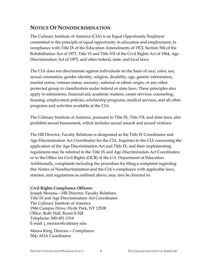# **NOTICE OF NONDISCRIMINATION**

The Culinary Institute of America (CIA) is an Equal Opportunity Employer committed to the principle of equal opportunity in education and employment, in compliance with Title IX of the Education Amendments of 1972, Section 504 of the Rehabilitation Act of 1973, Title VI and Title VII of the Civil Rights Act of 1964, Age Discrimination Act of 1975, and other federal, state, and local laws.

The CIA does not discriminate against individuals on the basis of race, color, sex, sexual orientation, gender identity, religion, disability, age, genetic information, marital status, veteran status, ancestry, national or ethnic origin, or any other protected group or classification under federal or state laws. These principles also apply to admissions, financial aid, academic matters, career services, counseling, housing, employment policies, scholarship programs, medical services, and all other programs and activities available at the CIA.

The Culinary Institute of America, pursuant to Title IX, Title VII, and state laws, also prohibits sexual harassment, which includes sexual assault and sexual violence.

The HR Director, Faculty Relations is designated as the Title IX Coordinator and Age Discrimination Act Coordinator for the CIA. Inquiries to the CIA concerning the application of the Age Discrimination Act and Title IX, and their implementing regulations may be referred to the Title IX and Age Discrimination Act Coordinator, or to the Office for Civil Rights (OCR) of the U.S. Department of Education. Additionally, complaints including the procedure for filing a complaint regarding this Notice of Nondiscrimination and the CIA's compliance with applicable laws, statutes, and regulations as outlined above, may also be directed to:

#### **Civil Rights Compliance Officers:**

Joseph Morano—HR Director, Faculty Relations Title IX and Age Discrimination Act Coordinator The Culinary Institute of America 1946 Campus Drive, Hyde Park, NY 12538 Office: Roth Hall, Room S-324 Telephone: 845-451-1314 E-mail: j\_morano@culinary.edu

Maura King, Director—Compliance 504/ADA Coordinator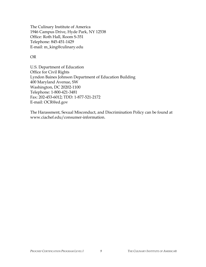The Culinary Institute of America 1946 Campus Drive, Hyde Park, NY 12538 Office: Roth Hall, Room S-351 Telephone: 845-451-1429 E-mail: m\_king@culinary.edu

#### OR

U.S. Department of Education Office for Civil Rights Lyndon Baines Johnson Department of Education Building 400 Maryland Avenue, SW Washington, DC 20202-1100 Telephone: 1-800-421-3481 Fax: 202-453-6012; TDD: 1-877-521-2172 E-mail: OCR@ed.gov

The Harassment, Sexual Misconduct, and Discrimination Policy can be found at www.ciachef.edu/consumer-information.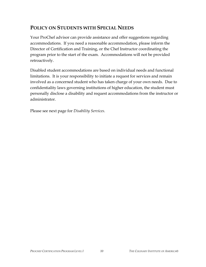# **POLICY ON STUDENTS WITH SPECIAL NEEDS**

Your ProChef advisor can provide assistance and offer suggestions regarding accommodations. If you need a reasonable accommodation, please inform the Director of Certification and Training, or the Chef Instructor coordinating the program prior to the start of the exam. Accommodations will not be provided retroactively.

Disabled student accommodations are based on individual needs and functional limitations. It is your responsibility to initiate a request for services and remain involved as a concerned student who has taken charge of your own needs. Due to confidentiality laws governing institutions of higher education, the student must personally disclose a disability and request accommodations from the instructor or administrator.

Please see next page for *Disability Services*.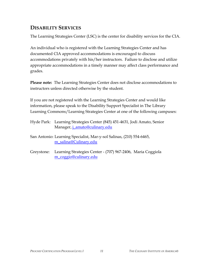# **DISABILITY SERVICES**

The Learning Strategies Center (LSC) is the center for disability services for the CIA.

An individual who is registered with the Learning Strategies Center and has documented CIA approved accommodations is encouraged to discuss accommodations privately with his/her instructors. Failure to disclose and utilize appropriate accommodations in a timely manner may affect class performance and grades.

**Please note:** The Learning Strategies Center does not disclose accommodations to instructors unless directed otherwise by the student.

If you are not registered with the Learning Strategies Center and would like information, please speak to the Disability Support Specialist in The Library Learning Commons/Learning Strategies Center at one of the following campuses:

Hyde Park: Learning Strategies Center (845) 451-4631, Jodi Amato, Senior Manager, <u>j\_amato@culinary.edu</u>

San Antonio: Learning Specialist, Mar-y-sol Salinas, (210) 554-6465, m\_salina@Culinary.edu

Greystone: Learning Strategies Center - (707) 967-2406, Maria Coggiola m\_coggio@culinary.edu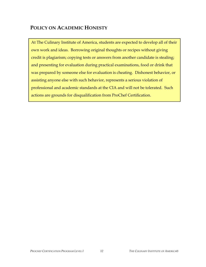# **POLICY ON ACADEMIC HONESTY**

At The Culinary Institute of America, students are expected to develop all of their own work and ideas. Borrowing original thoughts or recipes without giving credit is plagiarism; copying tests or answers from another candidate is stealing; and presenting for evaluation during practical examinations, food or drink that was prepared by someone else for evaluation is cheating. Dishonest behavior, or assisting anyone else with such behavior, represents a serious violation of professional and academic standards at the CIA and will not be tolerated. Such actions are grounds for disqualification from ProChef Certification.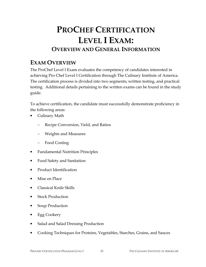# **PROCHEF CERTIFICATION LEVEL I EXAM: OVERVIEW AND GENERAL INFORMATION**

# **EXAM OVERVIEW**

The ProChef Level I Exam evaluates the competency of candidates interested in achieving Pro Chef Level I Certification through The Culinary Institute of America. The certification process is divided into two segments; written testing, and practical testing. Additional details pertaining to the written exams can be found in the study guide.

To achieve certification, the candidate must successfully demonstrate proficiency in the following areas:

- Culinary Math
	- − Recipe Conversion, Yield, and Ratios
	- − Weights and Measures
	- − Food Costing
- Fundamental Nutrition Principles
- Food Safety and Sanitation
- Product Identification
- Mise en Place
- Classical Knife Skills
- **Stock Production**
- Soup Production
- Egg Cookery
- Salad and Salad Dressing Production
- Cooking Techniques for Proteins, Vegetables, Starches, Grains, and Sauces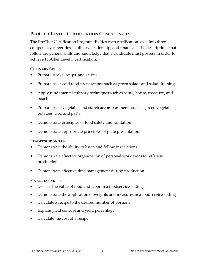### **PROCHEF LEVEL I CERTIFICATION COMPETENCIES**

The ProChef Certification Program divides each certification level into three competency categories – culinary, leadership, and financial. The descriptions that follow are general skills and knowledge that a candidate must possess in order to achieve ProChef Level I Certification.

#### **CULINARY SKILLS**

- Prepare stocks, soups, and sauces
- Prepare basic cold food preparations such as green salads and salad dressings
- Apply fundamental culinary techniques such as sauté, braise, roast, fry, and poach
- Prepare basic vegetable and starch accompaniments such as green vegetables, potatoes, rice, and pasta
- Demonstrate principles of food safety and sanitation
- Demonstrate appropriate principles of plate presentation

#### **LEADERSHIP SKILLS**

- Demonstrate the ability to listen and follow instructions
- Demonstrate effective organization of personal work areas for efficient production
- Demonstrate effective time management during production

#### **FINANCIAL SKILLS**

- Discuss the value of food and labor in a foodservice setting
- Demonstrate the application of weights and measures in a foodservice setting
- Calculate a recipe to the desired number of portions
- Explain yield concept and yield percentage
- Calculate the cost of a recipe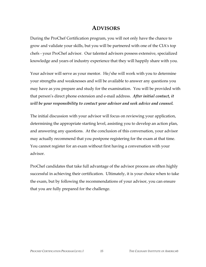# **ADVISORS**

During the ProChef Certification program, you will not only have the chance to grow and validate your skills, but you will be partnered with one of the CIA's top chefs - your ProChef advisor. Our talented advisors possess extensive, specialized knowledge and years of industry experience that they will happily share with you.

Your advisor will serve as your mentor. He/she will work with you to determine your strengths and weaknesses and will be available to answer any questions you may have as you prepare and study for the examination. You will be provided with that person's direct phone extension and e-mail address. *After initial contact, it will be your responsibility to contact your advisor and seek advice and counsel.*

The initial discussion with your advisor will focus on reviewing your application, determining the appropriate starting level, assisting you to develop an action plan, and answering any questions. At the conclusion of this conversation, your advisor may actually recommend that you postpone registering for the exam at that time. You cannot register for an exam without first having a conversation with your advisor.

ProChef candidates that take full advantage of the advisor process are often highly successful in achieving their certification. Ultimately, it is your choice when to take the exam, but by following the recommendations of your advisor, you can ensure that you are fully prepared for the challenge.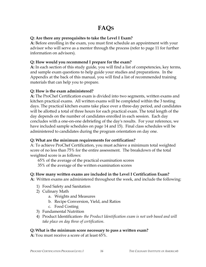# **FAQS**

#### **Q: Are there any prerequisites to take the Level I Exam?**

**A:** Before enrolling in the exam, you must first schedule an appointment with your advisor who will serve as a mentor through the process (refer to page 11 for further information on advisors).

#### **Q: How would you recommend I prepare for the exam?**

**A:** In each section of this study guide, you will find a list of competencies, key terms, and sample exam questions to help guide your studies and preparations. In the Appendix at the back of this manual, you will find a list of recommended training materials that can help you to prepare.

#### **Q: How is the exam administered?**

**A:** The ProChef Certification exam is divided into two segments, written exams and kitchen practical exams. All written exams will be completed within the 3 testing days. The practical kitchen exams take place over a three-day period, and candidates will be allotted a total of three hours for each practical exam. The total length of the day depends on the number of candidates enrolled in each session. Each day concludes with a one-on-one debriefing of the day's results. For your reference, we have included sample schedules on page 14 and 15). Final class schedules will be administered to candidates during the program orientation on day one.

#### **Q: What are the minimum requirements for certification?**

A: To achieve ProChef Certification, you must achieve a minimum total weighted score of no less than 75% for the entire assessment. The breakdown of the total weighted score is as follows:

65% of the average of the practical examination scores 35% of the average of the written examination scores

#### **Q: How many written exams are included in the Level I Certification Exam?**

**A:** Written exams are administered throughout the week, and include the following:

- 1) Food Safety and Sanitation
- 2) Culinary Math
	- a. Weights and Measures
	- b. Recipe Conversion, Yield, and Ratios
	- c. Food Costing
- 3) Fundamental Nutrition
- 4) Product Identification- *the Product Identification exam is not web based and will take place on day three of certification.*

#### **Q: What is the minimum score necessary to pass a written exam?**

**A:** You must receive a score of at least 65%.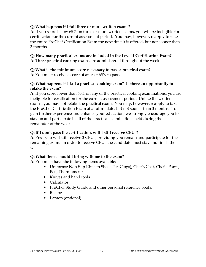#### **Q: What happens if I fail three or more written exams?**

**A:** If you score below 65% on three or more written exams, you will be ineligible for certification for the current assessment period. You may, however, reapply to take the entire ProChef Certification Exam the next time it is offered, but not sooner than 3 months.

#### **Q: How many practical exams are included in the Level I Certification Exam?**

**A:** Three practical cooking exams are administered throughout the week.

#### **Q: What is the minimum score necessary to pass a practical exam?**

**A:** You must receive a score of at least 65% to pass.

#### **Q: What happens if I fail a practical cooking exam? Is there an opportunity to retake the exam?**

**A:** If you score lower than 65% on any of the practical cooking examinations, you are ineligible for certification for the current assessment period. Unlike the written exams, you may not retake the practical exam. You may, however, reapply to take the ProChef Certification Exam at a future date, but not sooner than 3 months. To gain further experience and enhance your education, we strongly encourage you to stay on and participate in all of the practical examinations held during the remainder of the week.

#### **Q: If I don't pass the certification, will I still receive CEUs?**

**A:** Yes - you will still receive 3 CEUs, providing you remain and participate for the remaining exam. In order to receive CEUs the candidate must stay and finish the week.

#### **Q: What items should I bring with me to the exam?**

**A:** You must have the following items available:

- Uniforms: Non-Slip Kitchen Shoes (i.e. Clogs), Chef's Coat, Chef's Pants, Pen, Thermometer
- Knives and hand tools
- Calculator
- ProChef Study Guide and other personal reference books
- Recipes
- Laptop (optional)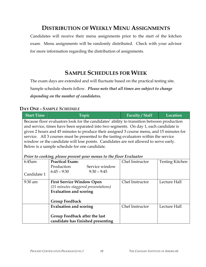# **DISTRIBUTION OF WEEKLY MENU ASSIGNMENTS**

Candidates will receive their menu assignments prior to the start of the kitchen exam. Menu assignments will be randomly distributed. Check with your advisor for more information regarding the distribution of assignments.

# **SAMPLE SCHEDULES FOR WEEK**

The exam days are extended and will fluctuate based on the practical testing site.

Sample schedule sheets follow. *Please note that all times are subject to change depending on the number of candidates.* 

#### **DAY ONE -** *SAMPLE SCHEDULE*

| <b>Start Time</b>                                                                                                                                                                                                                                                                                                                                                                                                                                                                                                                                                                       | Topic                                                                 | Faculty / Staff | Location               |
|-----------------------------------------------------------------------------------------------------------------------------------------------------------------------------------------------------------------------------------------------------------------------------------------------------------------------------------------------------------------------------------------------------------------------------------------------------------------------------------------------------------------------------------------------------------------------------------------|-----------------------------------------------------------------------|-----------------|------------------------|
| Because floor evaluators look for the candidates' ability to transition between production<br>and service, times have been separated into two segments. On day 1, each candidate is<br>given 2 hours and 45 minutes to produce their assigned 3 course menu, and 15 minutes for<br>service. All 3 courses must be presented to the tasting evaluators within the service<br>window or the candidate will lose points. Candidates are not allowed to serve early.<br>Below is a sample schedule for one candidate.<br>Prior to cooking, please present your menus to the floor Evaluator |                                                                       |                 |                        |
| 6:45am                                                                                                                                                                                                                                                                                                                                                                                                                                                                                                                                                                                  | <b>Practical Exam:</b>                                                | Chef Instructor | <b>Testing Kitchen</b> |
|                                                                                                                                                                                                                                                                                                                                                                                                                                                                                                                                                                                         | Production<br>Service window                                          |                 |                        |
| Candidate 1                                                                                                                                                                                                                                                                                                                                                                                                                                                                                                                                                                             | $6:45 - 9:30$<br>$9:30 - 9:45$                                        |                 |                        |
| 9:30 am                                                                                                                                                                                                                                                                                                                                                                                                                                                                                                                                                                                 | <b>First Service Window Open</b>                                      | Chef Instructor | Lecture Hall           |
|                                                                                                                                                                                                                                                                                                                                                                                                                                                                                                                                                                                         | (15 minutes staggered presentations)<br><b>Evaluation and scoring</b> |                 |                        |
|                                                                                                                                                                                                                                                                                                                                                                                                                                                                                                                                                                                         |                                                                       |                 |                        |
|                                                                                                                                                                                                                                                                                                                                                                                                                                                                                                                                                                                         | <b>Group Feedback</b>                                                 |                 |                        |
|                                                                                                                                                                                                                                                                                                                                                                                                                                                                                                                                                                                         | <b>Evaluation and scoring</b>                                         | Chef Instructor | Lecture Hall           |
|                                                                                                                                                                                                                                                                                                                                                                                                                                                                                                                                                                                         | Group Feedback after the last<br>candidate has finished presenting    |                 |                        |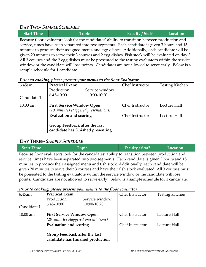# **DAY TWO-** *SAMPLE SCHEDULE*

| <b>Start Time</b>                                                                                  | Topic                                                                                          | <b>Faculty / Staff</b> | Location |
|----------------------------------------------------------------------------------------------------|------------------------------------------------------------------------------------------------|------------------------|----------|
|                                                                                                    | Because floor evaluators look for the candidates' ability to transition between production and |                        |          |
|                                                                                                    | service, times have been separated into two segments. Each candidate is given 3 hours and 15   |                        |          |
| minutes to produce their assigned menu, and egg dishes. Additionally, each candidate will be       |                                                                                                |                        |          |
| given 20 minutes to serve their 3 courses and 2 egg dishes. Fish stock will be evaluated on day 3. |                                                                                                |                        |          |
| All 3 courses and the 2 egg dishes must be presented to the tasting evaluators within the service  |                                                                                                |                        |          |
| window or the candidate will lose points. Candidates are not allowed to serve early. Below is a    |                                                                                                |                        |          |
|                                                                                                    | sample schedule for 1 candidate.                                                               |                        |          |

#### *Prior to cooking, please present your menus to the floor Evaluator*

| 6:45am      | <b>Practical Exam:</b>               | Chef Instructor | <b>Testing Kitchen</b> |
|-------------|--------------------------------------|-----------------|------------------------|
|             | Production<br>Service window         |                 |                        |
| Candidate 1 | $6:45-10:00$<br>10:00-10:20          |                 |                        |
|             |                                      |                 |                        |
| $10:00$ am  | <b>First Service Window Open</b>     | Chef Instructor | Lecture Hall           |
|             | (20 minutes staggered presentations) |                 |                        |
|             | Evaluation and scoring               | Chef Instructor | Lecture Hall           |
|             |                                      |                 |                        |
|             | Group Feedback after the last        |                 |                        |
|             | candidate has finished presenting    |                 |                        |

# **DAY THREE-** *SAMPLE SCHEDULE*

| <b>Start Time</b>                                                                                 | Topic                                                                                          | Faculty / Staff | Location |
|---------------------------------------------------------------------------------------------------|------------------------------------------------------------------------------------------------|-----------------|----------|
| Because floor evaluators look for the candidates' ability to transition between production and    |                                                                                                |                 |          |
| service, times have been separated into two segments. Each candidate is given 3 hours and 15      |                                                                                                |                 |          |
| minutes to produce their assigned menu and fish stock. Additionally, each candidate will be       |                                                                                                |                 |          |
| given 20 minutes to serve their 3 courses and have their fish stock evaluated. All 3 courses must |                                                                                                |                 |          |
|                                                                                                   | be presented to the tasting evaluators within the service window or the candidate will lose    |                 |          |
|                                                                                                   | points. Candidates are not allowed to serve early. Below is a sample schedule for 1 candidate. |                 |          |

#### *Prior to cooking, please present your menus to the floor evaluator*

|             | ייז הייז הייז א                      |                 |                        |
|-------------|--------------------------------------|-----------------|------------------------|
| 6:45am      | <b>Practical Exam:</b>               | Chef Instructor | <b>Testing Kitchen</b> |
|             | Service window<br>Production         |                 |                        |
| Candidate 1 | $6:45-10:00$<br>10:00-10:20          |                 |                        |
| $10:00$ am  | <b>First Service Window Open</b>     | Chef Instructor | Lecture Hall           |
|             | (20 minutes staggered presentations) |                 |                        |
|             | Evaluation and scoring               | Chef Instructor | Lecture Hall           |
|             |                                      |                 |                        |
|             | Group Feedback after the last        |                 |                        |
|             | candidate has finished production    |                 |                        |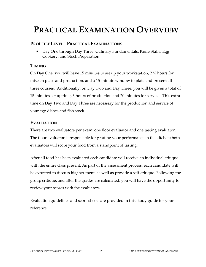# **PRACTICAL EXAMINATION OVERVIEW**

### **PROCHEF LEVEL I PRACTICAL EXAMINATIONS**

• Day One through Day Three: Culinary Fundamentals, Knife Skills, Egg Cookery, and Stock Preparation

### **TIMING**

On Day One, you will have 15 minutes to set up your workstation, 2 ½ hours for mise en place and production, and a 15-minute window to plate and present all three courses. Additionally, on Day Two and Day Three, you will be given a total of 15 minutes set up time, 3 hours of production and 20 minutes for service. This extra time on Day Two and Day Three are necessary for the production and service of your egg dishes and fish stock.

# **EVALUATION**

There are two evaluators per exam: one floor evaluator and one tasting evaluator. The floor evaluator is responsible for grading your performance in the kitchen; both evaluators will score your food from a standpoint of tasting.

After all food has been evaluated each candidate will receive an individual critique with the entire class present. As part of the assessment process, each candidate will be expected to discuss his/her menu as well as provide a self-critique. Following the group critique, and after the grades are calculated, you will have the opportunity to review your scores with the evaluators.

Evaluation guidelines and score sheets are provided in this study guide for your reference.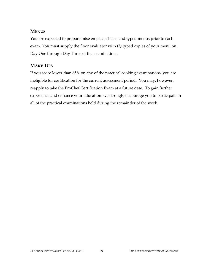### **MENUS**

You are expected to prepare mise en place sheets and typed menus prior to each exam. You must supply the floor evaluator with *(2)* typed copies of your menu on Day One through Day Three of the examinations.

# **MAKE-UPS**

If you score lower than 65% on any of the practical cooking examinations, you are ineligible for certification for the current assessment period. You may, however, reapply to take the ProChef Certification Exam at a future date. To gain further experience and enhance your education, we strongly encourage you to participate in all of the practical examinations held during the remainder of the week.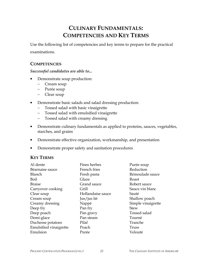# **CULINARY FUNDAMENTALS: COMPETENCIES AND KEY TERMS**

Use the following list of competencies and key terms to prepare for the practical examinations.

#### **COMPETENCIES**

#### *Successful candidates are able to...*

- Demonstrate soup production:
	- − Cream soup
	- − Purée soup
	- − Clear soup
- Demonstrate basic salads and salad dressing production:
	- − Tossed salad with basic vinaigrette
	- − Tossed salad with emulsified vinaigrette
	- − Tossed salad with creamy dressing
- Demonstrate culinary fundamentals as applied to proteins, sauces, vegetables, starches, and grains
- Demonstrate effective organization, workmanship, and presentation
- Demonstrate proper safety and sanitation procedures

#### **KEY TERMS**

| Al dente                      | Fines herbes      | Purée soup         |
|-------------------------------|-------------------|--------------------|
| Béarnaise sauce               | French fries      | Reduction          |
| Blanch                        | Fresh pasta       | Rémoulade sauce    |
| Boil                          | Glaze             | Roast              |
| <b>Braise</b>                 | Grand sauce       | Robert sauce       |
| Carryover cooking             | Grill             | Sauce vin blanc    |
| Clear soup                    | Hollandaise sauce | Sauté              |
| Cream soup                    | Jus/jus lié       | Shallow poach      |
| Creamy dressing               | Nappé             | Simple vinaigrette |
| Deep fry                      | Pan fry           | <b>Stew</b>        |
| Deep poach                    | Pan gravy         | Tossed salad       |
| Demi-glace                    | Pan steam         | Tourné             |
| Duchesse potatoes             | Pilaf             | Tranche            |
| <b>Emulsified vinaigrette</b> | Poach             | <b>Truss</b>       |
| Emulsion                      | Purée             | Velouté            |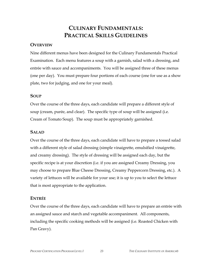# **CULINARY FUNDAMENTALS: PRACTICAL SKILLS GUIDELINES**

#### **OVERVIEW**

Nine different menus have been designed for the Culinary Fundamentals Practical Examination. Each menu features a soup with a garnish, salad with a dressing, and entrée with sauce and accompaniments. You will be assigned three of these menus (one per day). You must prepare four portions of each course (one for use as a show plate, two for judging, and one for your meal).

#### **SOUP**

Over the course of the three days, each candidate will prepare a different style of soup (cream, purée, and clear). The specific type of soup will be assigned (i.e. Cream of Tomato Soup). The soup must be appropriately garnished.

#### **SALAD**

Over the course of the three days, each candidate will have to prepare a tossed salad with a different style of salad dressing (simple vinaigrette, emulsified vinaigrette, and creamy dressing). The style of dressing will be assigned each day, but the specific recipe is at your discretion (i.e. if you are assigned Creamy Dressing, you may choose to prepare Blue Cheese Dressing, Creamy Peppercorn Dressing, etc.). A variety of lettuces will be available for your use; it is up to you to select the lettuce that is most appropriate to the application.

#### **ENTRÉE**

Over the course of the three days, each candidate will have to prepare an entrée with an assigned sauce and starch and vegetable accompaniment. All components, including the specific cooking methods will be assigned (i.e. Roasted Chicken with Pan Gravy).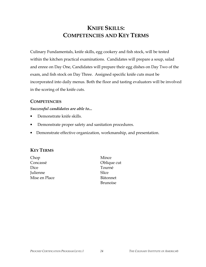# **KNIFE SKILLS: COMPETENCIES AND KEY TERMS**

Culinary Fundamentals, knife skills, egg cookery and fish stock, will be tested within the kitchen practical examinations. Candidates will prepare a soup, salad and enree on Day One, Candidates will prepare their egg dishes on Day Two of the exam, and fish stock on Day Three. Assigned specific knife cuts must be incorporated into daily menus. Both the floor and tasting evaluators will be involved in the scoring of the knife cuts.

#### **COMPETENCIES**

#### *Successful candidates are able to...*

- Demonstrate knife skills.
- Demonstrate proper safety and sanitation procedures.
- Demonstrate effective organization, workmanship, and presentation.

#### **KEY TERMS**

- Chop Mince Concassé Oblique cut Dice Tourné Julienne Slice Mise en Place Bâtonnet
- Brunoise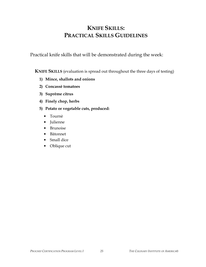# **KNIFE SKILLS: PRACTICAL SKILLS GUIDELINES**

Practical knife skills that will be demonstrated during the week:

**KNIFE SKILLS** (evaluation is spread out throughout the three days of testing)

- **1) Mince, shallots and onions**
- **2) Concassè tomatoes**
- **3) Suprême citrus**
- **4) Finely chop, herbs**
- **5) Potato or vegetable cuts, produced:** 
	- Tournè
	- Julienne
	- Brunoise
	- Bâtonnet
	- Small dice
	- Oblique cut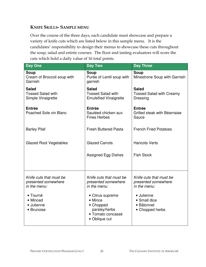### **KNIFE SKILLS- SAMPLE MENU**

Over the course of the three days, each candidate must showcase and prepare a variety of knife cuts which are listed below in this sample menu. It is the candidates' responsibility to design their menus to showcase these cuts throughout the soup, salad and entrée courses. The floor and tasting evaluators will score the cuts which hold a daily value of 16 total points.

| <b>Day One</b>                                                             | <b>Day Two</b>                                                                     | <b>Day Three</b>                                                             |
|----------------------------------------------------------------------------|------------------------------------------------------------------------------------|------------------------------------------------------------------------------|
| <b>Soup</b><br>Cream of Broccoli soup with<br>Garnish                      | <b>Soup</b><br>Purée of Lentil soup with<br>garnish                                | Soup<br>Minestrone Soup with Garnish                                         |
| <b>Salad</b><br><b>Tossed Salad with</b><br>Simple Vinaigrette             | <b>Salad</b><br><b>Tossed Salad with</b><br><b>Emulsified Vinaigrette</b>          | <b>Salad</b><br><b>Tossed Salad with Creamy</b><br><b>Dressing</b>           |
| Entrée<br>Poached Sole vin Blanc                                           | <b>Entrée</b><br>Sautéed chicken aux<br><b>Fines Herbes</b>                        | Entrée<br>Grilled steak with Béarnaise<br>Sauce                              |
| <b>Barley Pilaf</b>                                                        | <b>Fresh Buttered Pasta</b>                                                        | <b>French Fried Potatoes</b>                                                 |
| <b>Glazed Root Vegetables</b>                                              | <b>Glazed Carrots</b>                                                              | <b>Haricots Verts</b>                                                        |
|                                                                            | <b>Assigned Egg Dishes</b>                                                         | <b>Fish Stock</b>                                                            |
| Knife cuts that must be<br>presented somewhere<br>in the menu:<br>• Tourné | Knife cuts that must be<br>presented somewhere<br>in the menu:<br>• Citrus supreme | Knife cuts that must be<br>presented somewhere<br>in the menu:<br>• Julienne |
| • Minced<br>· Julienne<br>• Brunoise                                       | • Mince<br>• Chopped<br>parsley/herbs<br>• Tomato concassè<br>• Oblique cut        | • Small dice<br>• Bâtonnet<br>• Chopped herbs                                |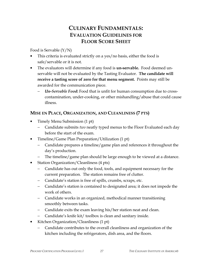# **CULINARY FUNDAMENTALS: EVALUATION GUIDELINES FOR FLOOR SCORE SHEET**

#### Food is Servable (Y/N)

- This criteria is evaluated strictly on a yes/no basis, either the food is safe/servable or it is not.
- The evaluators will determine if any food is **un-servable.** Food deemed unservable will not be evaluated by the Tasting Evaluator. **The candidate will receive a tasting score of zero for that menu segment.** Points may still be awarded for the communication piece.
	- − *Un-Servable Food***:** Food that is unfit for human consumption due to crosscontamination, under-cooking, or other mishandling/abuse that could cause illness.

#### **MISE EN PLACE, ORGANIZATION, AND CLEANLINESS (7 PTS)**

- Timely Menu Submission (1 pt)
	- − Candidate submits *two* neatly typed menus to the Floor Evaluated each day before the start of the exam.
- Timeline/Game Plan Preparation/Utilization (1 pt)
	- − Candidate prepares a timeline/game plan and references it throughout the day's production.
	- − The timeline/game plan should be large enough to be viewed at a distance.
- Station Organization/Cleanliness (4 pts)
	- − Candidate has out only the food, tools, and equipment necessary for the current preparation. The station remains free of clutter.
	- − Candidate's station is free of spills, crumbs, scraps, etc.
	- − Candidate's station is contained to designated area; it does not impede the work of others.
	- − Candidate works in an organized, methodical manner transitioning smoothly between tasks.
	- − Candidate exits the exam leaving his/her station neat and clean.
	- − Candidate's knife kit/ toolbox is clean and sanitary inside.
- Kitchen Organization/Cleanliness (1 pt)
	- Candidate contributes to the overall cleanliness and organization of the kitchen including the refrigerators, dish area, and the floors.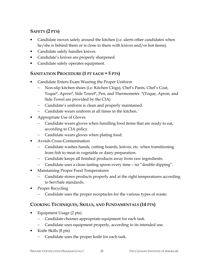# **SAFETY (2 PTS)**

- Candidate moves safely around the kitchen (i.e. alerts other candidates when he/she is behind them or is close to them with knives and/or hot items).
- Candidate safely handles knives.
- Candidate's knives are properly sharpened.
- Candidate safely operates equipment.

### **SANITATION PROCEDURE (1 PT EACH = 5 PTS)**

- Candidate Enters Exam Wearing the Proper Uniform
	- − Non-slip kitchen shoes (i.e. Kitchen Clogs), Chef's Pants, Chef's Coat, Toque\*, Apron\*, Side Towel\*, Pen, and Thermometer. \*(Toque, Apron, and Side Towel are provided by the CIA)
	- − Candidate's uniform is clean and properly maintained.
	- − Candidate wears uniform at all times in the kitchen.
- Appropriate Use of Gloves
	- − Candidate wears gloves when handling food items that are ready to eat, according to CIA policy.
	- − Candidate wears gloves when plating food.
- Avoids Cross-Contamination
	- − Candidate washes hands, cutting boards, knives, etc. when transitioning from fish to meat to vegetable or dairy preparation.
	- − Candidate keeps all finished products away from raw ingredients.
	- − Candidate uses a clean tasting spoon every time no "double-dipping".
- Maintaining Proper Food Temperatures
	- − Candidate stores products properly and at the right temperatures according to ServSafe standards.
- Proper Recycling
	- Candidate uses the proper receptacles for the various types of waste.

# **COOKING TECHNIQUES, SKILLS, AND FUNDAMENTALS (14 PTS)**

- Equipment Usage (2 pts)
	- Candidate chooses appropriate equipment for each task.
	- − Candidate uses equipment properly, according to its intended use.
- Knife Skills (8 pts)
	- Candidate uses the proper knife for each task.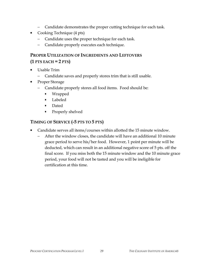- − Candidate demonstrates the proper cutting technique for each task.
- Cooking Technique (4 pts)
	- − Candidate uses the proper technique for each task.
	- − Candidate properly executes each technique.

# **PROPER UTILIZATION OF INGREDIENTS AND LEFTOVERS (1 PTS EACH = 2 PTS)**

- Usable Trim
	- − Candidate saves and properly stores trim that is still usable.
- Proper Storage
	- − Candidate properly stores all food items. Food should be:
		- Wrapped
		- Labeled
		- Dated
		- Properly shelved

# **TIMING OF SERVICE (-5 PTS TO 5 PTS)**

- Candidate serves all items/courses within allotted the 15 minute window.
	- − After the window closes, the candidate will have an additional 10 minute grace period to serve his/her food. However, 1 point per minute will be deducted, which can result in an additional negative score of 5 pts. off the final score. If you miss both the 15 minute window and the 10 minute grace period, your food will not be tasted and you will be ineligible for certification at this time.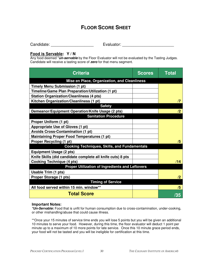# **FLOOR SCORE SHEET**

Candidate: example and the Evaluator: example and the Evaluator:  $\sim$  Evaluator:

#### **Food is Servable: Y / N**

Any food deemed \***un-servable** by the Floor Evaluator will not be evaluated by the Tasting Judges. Candidate will receive a tasting score of **zero** for that menu segment.

| <b>Criteria</b>                                            | <b>Scores</b> | <b>Total</b> |
|------------------------------------------------------------|---------------|--------------|
| Mise en Place, Organization, and Cleanliness               |               |              |
| <b>Timely Menu Submission (1 pt)</b>                       |               |              |
| Timeline/Game Plan Preparation/Utilization (1 pt)          |               |              |
| <b>Station Organization/Cleanliness (4 pts)</b>            |               |              |
| Kitchen Organization/Cleanliness (1 pt)                    |               | $\sqrt{7}$   |
| <b>Safety</b>                                              |               |              |
| Demeanor/Equipment Operation/Knife Usage (2 pts)           |               | /2           |
| <b>Sanitation Procedure</b>                                |               |              |
| Proper Uniform (1 pt)                                      |               |              |
| Appropriate Use of Gloves (1 pt)                           |               |              |
| <b>Avoids Cross-Contamination (1 pt)</b>                   |               |              |
| <b>Maintaining Proper Food Temperatures (1 pt)</b>         |               |              |
| <b>Proper Recycling (1 pt)</b>                             |               | /5           |
| <b>Cooking Techniques, Skills, and Fundamentals</b>        |               |              |
| <b>Equipment Usage (2 pts)</b>                             |               |              |
| Knife Skills (did candidate complete all knife cuts) 8 pts |               |              |
| <b>Cooking Technique (4 pts)</b>                           |               | /14          |
| Proper Utilization of Ingredients and Leftovers            |               |              |
| <b>Usable Trim (1 pts)</b>                                 |               |              |
| Proper Storage (1 pts)                                     |               | /2           |
| <b>Timing of Service</b>                                   |               |              |
| All food served within 15 min. window**                    |               | /5           |
| <b>Total Score</b>                                         |               | /35          |

#### **Important Notes:**

**\*Un-Servable:** Food that is unfit for human consumption due to cross-contamination, under-cooking, or other mishandling/abuse that could cause illness.

\*\*Once your 15 minutes of service time ends you will lose 5 points but you will be given an additional 10 minutes to serve your food. However, during this time, the floor evaluator will deduct 1 point per minute up to a maximum of 10 more points for late service. Once this 10 minute grace period ends, your food will not be tasted and you will be ineligible for certification at this time.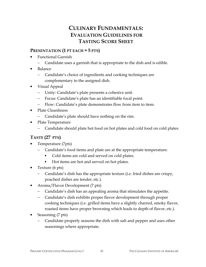# **CULINARY FUNDAMENTALS: EVALUATION GUIDELINES FOR TASTING SCORE SHEET**

### **PRESENTATION (1 PT EACH = 5 PTS)**

- Functional Garnish
	- − Candidate uses a garnish that is appropriate to the dish and is edible.
- Balance
	- − Candidate's choice of ingredients and cooking techniques are complementary to the assigned dish.
- Visual Appeal
	- − Unity: Candidate's plate presents a cohesive unit.
	- − Focus: Candidate's plate has an identifiable focal point.
	- − Flow: Candidate's plate demonstrates flow from item to item.
- Plate Cleanliness
	- − Candidate's plate should have nothing on the rim.
- Plate Temperature
	- − Candidate should plate hot food on hot plates and cold food on cold plates.

# **TASTE (27 PTS)**

- Temperature (7pts)
	- Candidate's food items and plate are at the appropriate temperature:
		- Cold items are cold and served on cold plates.
		- Hot items are hot and served on hot plates.
- Texture (6 pts)
	- − Candidate's dish has the appropriate texture (i.e. fried dishes are crispy, poached dishes are tender, etc.).
- Aroma/Flavor Development (7 pts)
	- − Candidate's dish has an appealing aroma that stimulates the appetite.
	- − Candidate's dish exhibits proper flavor development through proper cooking techniques (i.e. grilled items have a slightly charred, smoky flavor, roasted items have proper browning which leads to depth of flavor, etc.).
- Seasoning (7 pts)
	- − Candidate properly seasons the dish with salt and pepper and uses other seasonings where appropriate.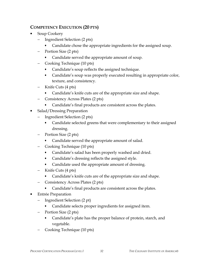### **COMPETENCY EXECUTION (20 PTS)**

- Soup Cookery
	- − Ingredient Selection (2 pts)
		- Candidate chose the appropriate ingredients for the assigned soup.
	- − Portion Size (2 pts)
		- Candidate served the appropriate amount of soup.
	- − Cooking Technique (10 pts)
		- Candidate's soup reflects the assigned technique.
		- Candidate's soup was properly executed resulting in appropriate color, texture, and consistency.
	- − Knife Cuts (4 pts)
		- Candidate's knife cuts are of the appropriate size and shape.
	- − Consistency Across Plates (2 pts)
		- Candidate's final products are consistent across the plates.
- Salad/Dressing Preparation
	- − Ingredient Selection (2 pts)
		- Candidate selected greens that were complementary to their assigned dressing.
	- − Portion Size (2 pts)
		- Candidate served the appropriate amount of salad.
	- − Cooking Technique (10 pts)
		- Candidate's salad has been properly washed and dried.
		- Candidate's dressing reflects the assigned style.
		- Candidate used the appropriate amount of dressing.
	- − Knife Cuts (4 pts)
		- Candidate's knife cuts are of the appropriate size and shape.
	- − Consistency Across Plates (2 pts)
		- Candidate's final products are consistent across the plates.
- Entrée Preparation
	- − Ingredient Selection (2 pt)
		- Candidate selects proper ingredients for assigned item.
	- − Portion Size (2 pts)
		- Candidate's plate has the proper balance of protein, starch, and vegetable.
	- − Cooking Technique (10 pts)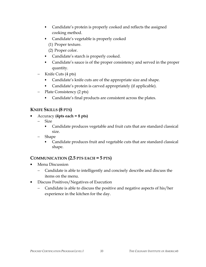- Candidate's protein is properly cooked and reflects the assigned cooking method.
- Candidate's vegetable is properly cooked (1) Proper texture.
	- (2) Proper color.
- Candidate's starch is properly cooked.
- Candidate's sauce is of the proper consistency and served in the proper quantity.
- − Knife Cuts (4 pts)
	- Candidate's knife cuts are of the appropriate size and shape.
	- Candidate's protein is carved appropriately (if applicable).
- − Plate Consistency (2 pts)
	- Candidate's final products are consistent across the plates.

# **KNIFE SKILLS (8 PTS)**

- Accuracy **(4pts each = 8 pts)**
	- Size
		- Candidate produces vegetable and fruit cuts that are standard classical size.
	- − Shape
		- Candidate produces fruit and vegetable cuts that are standard classical shape.

### **COMMUNICATION (2.5 PTS EACH = 5 PTS)**

- Menu Discussion
	- − Candidate is able to intelligently and concisely describe and discuss the items on the menu.
- Discuss Positives/Negatives of Execution
	- − Candidate is able to discuss the positive and negative aspects of his/her experience in the kitchen for the day.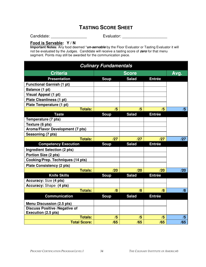# **TASTING SCORE SHEET**

Candidate: \_\_\_\_\_\_\_\_\_\_\_\_\_\_\_\_ Evaluator: \_\_\_\_\_\_\_\_\_\_\_\_\_\_\_\_\_\_\_\_

#### **Food is Servable: Y / N**

**Important Notes:** Any food deemed \***un-servable** by the Floor Evaluator or Tasting Evaluator it will not be evaluated by the Judges. Candidate will receive a tasting score of **zero** for that menu segment. Points may still be awarded for the communication piece.

| <b>Culinary Fundamentals</b>                                |              |              |               |      |
|-------------------------------------------------------------|--------------|--------------|---------------|------|
| <b>Criteria</b>                                             | <b>Score</b> |              |               | Avg. |
| <b>Presentation</b>                                         | <b>Soup</b>  | <b>Salad</b> | <b>Entrée</b> |      |
| <b>Functional Garnish (1 pt)</b>                            |              |              |               |      |
| Balance (1 pt)                                              |              |              |               |      |
| Visual Appeal (1 pt)                                        |              |              |               |      |
| <b>Plate Cleanliness (1 pt)</b>                             |              |              |               |      |
| Plate Temperature (1 pt)                                    |              |              |               |      |
| <b>Totals:</b>                                              | /5           | /5           | /5            | /5   |
| <b>Taste</b>                                                | <b>Soup</b>  | <b>Salad</b> | <b>Entrée</b> |      |
| Temperature (7 pts)                                         |              |              |               |      |
| Texture (6 pts)                                             |              |              |               |      |
| Aroma/Flavor Development (7 pts)                            |              |              |               |      |
| Seasoning (7 pts)                                           |              |              |               |      |
| <b>Totals:</b>                                              | /27          | /27          | /27           | /27  |
| <b>Competency Execution</b>                                 | <b>Soup</b>  | <b>Salad</b> | <b>Entrée</b> |      |
| <b>Ingredient Selection (2 pts)</b>                         |              |              |               |      |
| Portion Size (2 pts)                                        |              |              |               |      |
| Cooking/Prep. Techniques (14 pts)                           |              |              |               |      |
| <b>Plate Consistency (2 pts)</b>                            |              |              |               |      |
| <b>Totals:</b>                                              | /20          | /20          | /20           | /20  |
| <b>Knife Skills</b>                                         | <b>Soup</b>  | <b>Salad</b> | <b>Entrée</b> |      |
| <b>Accuracy: Size (4 pts)</b>                               |              |              |               |      |
| <b>Accuracy: Shape (4 pts)</b>                              |              |              |               |      |
| <b>Totals:</b>                                              | /8           | /8           | /8            | /8   |
| <b>Communication</b>                                        | <b>Soup</b>  | <b>Salad</b> | <b>Entrée</b> |      |
| <b>Menu Discussion (2.5 pts)</b>                            |              |              |               |      |
| <b>Discuss Positive /Negative of</b><br>Execution (2.5 pts) |              |              |               |      |
| <b>Totals:</b>                                              | /5           | /5           | /5            | /5   |
| <b>Total Score:</b>                                         | /65          | /65          | /65           | /65  |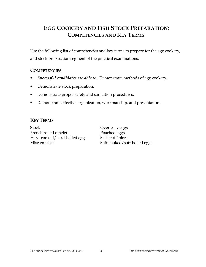# **EGG COOKERY AND FISH STOCK PREPARATION: COMPETENCIES AND KEY TERMS**

Use the following list of competencies and key terms to prepare for the egg cookery, and stock preparation segment of the practical examinations.

#### **COMPETENCIES**

- *Successful candidates are able to...*Demonstrate methods of egg cookery.
- Demonstrate stock preparation.
- Demonstrate proper safety and sanitation procedures.
- Demonstrate effective organization, workmanship, and presentation.

#### **KEY TERMS**

Stock Over-easy eggs French rolled omelet Poached eggs Hard-cooked/hard-boiled eggs Sachet d'épices Mise en place Soft-cooked/soft-boiled eggs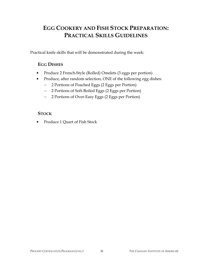# **EGG COOKERY AND FISH STOCK PREPARATION: PRACTICAL SKILLS GUIDELINES**

Practical knife skills that will be demonstrated during the week:

### **EGG DISHES**

- Produce 2 French-Style (Rolled) Omelets (3 eggs per portion)
- Produce, after random selection, ONE of the following egg dishes:
	- − 2 Portions of Poached Eggs (2 Eggs per Portion)
	- − 2 Portions of Soft-Boiled Eggs (2 Eggs per Portion)
	- − 2 Portions of Over-Easy Eggs (2 Eggs per Portion)

#### **STOCK**

Produce 1 Quart of Fish Stock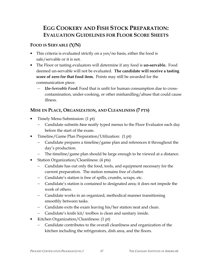# **EGG COOKERY AND FISH STOCK PREPARATION: EVALUATION GUIDELINES FOR FLOOR SCORE SHEETS**

# **FOOD IS SERVABLE (Y/N)**

- This criteria is evaluated strictly on a yes/no basis, either the food is safe/servable or it is not.
- The Floor or tasting evaluators will determine if any food is **un-servable.** Food deemed un-servable will not be evaluated. **The candidate will receive a tasting score of zero for that food item.** Points may still be awarded for the communication piece.
	- − *Un-Servable Food***:** Food that is unfit for human consumption due to crosscontamination, under-cooking, or other mishandling/abuse that could cause illness.

### **MISE EN PLACE, ORGANIZATION, AND CLEANLINESS (7 PTS)**

- Timely Menu Submission: (1 pt)
	- − Candidate submits *two* neatly typed menus to the Floor Evaluator each day before the start of the exam.
- Timeline/Game Plan Preparation/Utilization: (1 pt)
	- − Candidate prepares a timeline/game plan and references it throughout the day's production.
	- − The timeline/game plan should be large enough to be viewed at a distance.
- Station Organization/Cleanliness: (4 pts)
	- − Candidate has out only the food, tools, and equipment necessary for the current preparation. The station remains free of clutter.
	- − Candidate's station is free of spills, crumbs, scraps, etc.
	- − Candidate's station is contained to designated area; it does not impede the work of others.
	- − Candidate works in an organized, methodical manner transitioning smoothly between tasks.
	- − Candidate exits the exam leaving his/her station neat and clean.
	- − Candidate's knife kit/ toolbox is clean and sanitary inside.
- Kitchen Organization/Cleanliness: (1 pt)
	- − Candidate contributes to the overall cleanliness and organization of the kitchen including the refrigerators, dish area, and the floors.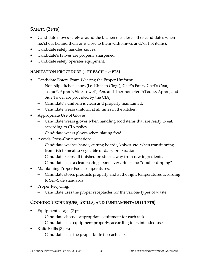# **SAFETY (2 PTS)**

- Candidate moves safely around the kitchen (i.e. alerts other candidates when he/she is behind them or is close to them with knives and/or hot items).
- Candidate safely handles knives.
- Candidate's knives are properly sharpened.
- Candidate safely operates equipment.

### **SANITATION PROCEDURE (1 PT EACH = 5 PTS)**

- Candidate Enters Exam Wearing the Proper Uniform:
	- − Non-slip kitchen shoes (i.e. Kitchen Clogs), Chef's Pants, Chef's Coat, Toque\*, Apron\*, Side Towel\*, Pen, and Thermometer. \*(Toque, Apron, and Side Towel are provided by the CIA)
	- − Candidate's uniform is clean and properly maintained.
	- − Candidate wears uniform at all times in the kitchen.
- Appropriate Use of Gloves:
	- − Candidate wears gloves when handling food items that are ready to eat, according to CIA policy.
	- − Candidate wears gloves when plating food.
- Avoids Cross-Contamination:
	- − Candidate washes hands, cutting boards, knives, etc. when transitioning from fish to meat to vegetable or dairy preparation.
	- − Candidate keeps all finished products away from raw ingredients.
	- − Candidate uses a clean tasting spoon every time no "double-dipping".
- Maintaining Proper Food Temperatures:
	- − Candidate stores products properly and at the right temperatures according to ServSafe standards.
- Proper Recycling:
	- Candidate uses the proper receptacles for the various types of waste.

# **COOKING TECHNIQUES, SKILLS, AND FUNDAMENTALS (14 PTS)**

- Equipment Usage (2 pts)
	- − Candidate chooses appropriate equipment for each task.
	- − Candidate uses equipment properly, according to its intended use.
- Knife Skills (8 pts)
	- − Candidate uses the proper knife for each task.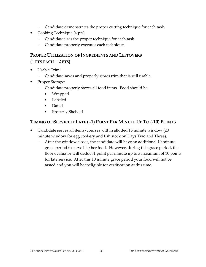- − Candidate demonstrates the proper cutting technique for each task.
- Cooking Technique (4 pts)
	- Candidate uses the proper technique for each task.
	- − Candidate properly executes each technique.

# **PROPER UTILIZATION OF INGREDIENTS AND LEFTOVERS (1 PTS EACH = 2 PTS)**

- Usable Trim:
	- Candidate saves and properly stores trim that is still usable.
- Proper Storage:
	- − Candidate properly stores all food items. Food should be:
		- Wrapped
		- Labeled
		- Dated
		- Properly Shelved

# **TIMING OF SERVICE IF LATE ( -1) POINT PER MINUTE UP TO (-10) POINTS**

- Candidate serves all items/courses within allotted 15 minute window (20 minute window for egg cookery and fish stock on Days Two and Three).
	- − After the window closes, the candidate will have an additional 10 minute grace period to serve his/her food. However, during this grace period, the floor evaluator will deduct 1 point per minute up to a maximum of 10 points for late service. After this 10 minute grace period your food will not be tasted and you will be ineligible for certification at this time.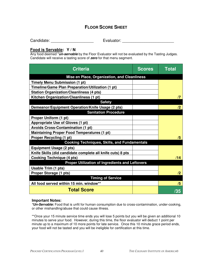### **FLOOR SCORE SHEET**

Candidate: example and the Evaluator: example and the Evaluator:  $\sim$  Evaluator:  $\sim$  2007.

#### **Food is Servable: Y / N**

Any food deemed \***un-servable** by the Floor Evaluator will not be evaluated by the Tasting Judges. Candidate will receive a tasting score of **zero** for that menu segment.

| <b>Criteria</b>                                            | <b>Scores</b> | <b>Total</b> |
|------------------------------------------------------------|---------------|--------------|
| Mise en Place, Organization, and Cleanliness               |               |              |
| <b>Timely Menu Submission (1 pt)</b>                       |               |              |
| Timeline/Game Plan Preparation/Utilization (1 pt)          |               |              |
| <b>Station Organization/Cleanliness (4 pts)</b>            |               |              |
| Kitchen Organization/Cleanliness (1 pt)                    |               | $\sqrt{7}$   |
| <b>Safety</b>                                              |               |              |
| Demeanor/Equipment Operation/Knife Usage (2 pts)           |               | /2           |
| <b>Sanitation Procedure</b>                                |               |              |
| Proper Uniform (1 pt)                                      |               |              |
| Appropriate Use of Gloves (1 pt)                           |               |              |
| <b>Avoids Cross-Contamination (1 pt)</b>                   |               |              |
| <b>Maintaining Proper Food Temperatures (1 pt)</b>         |               |              |
| <b>Proper Recycling (1 pt)</b>                             |               | /5           |
| <b>Cooking Techniques, Skills, and Fundamentals</b>        |               |              |
| <b>Equipment Usage (2 pts)</b>                             |               |              |
| Knife Skills (did candidate complete all knife cuts) 8 pts |               |              |
| <b>Cooking Technique (4 pts)</b>                           |               | /14          |
| <b>Proper Utilization of Ingredients and Leftovers</b>     |               |              |
| <b>Usable Trim (1 pts)</b>                                 |               |              |
| Proper Storage (1 pts)                                     |               | /2           |
| <b>Timing of Service</b>                                   |               |              |
| All food served within 15 min. window**                    |               | /5           |
| <b>Total Score</b>                                         |               | /35          |

#### **Important Notes:**

**\*Un-Servable:** Food that is unfit for human consumption due to cross-contamination, under-cooking, or other mishandling/abuse that could cause illness.

\*\*Once your 15 minute service time ends you will lose 5 points but you will be given an additional 10 minutes to serve your food. However, during this time, the floor evaluator will deduct 1 point per minute up to a maximum of 10 more points for late service. Once this 10 minute grace period ends, your food will not be tasted and you will be ineligible for certification at this time.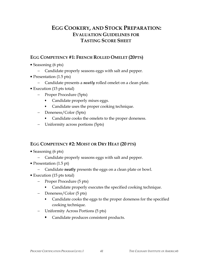# **EGG COOKERY, AND STOCK PREPARATION: EVALUATION GUIDELINES FOR TASTING SCORE SHEET**

### **EGG COMPETENCY #1: FRENCH ROLLED OMELET (20PTS)**

- Seasoning (6 pts)
	- − Candidate properly seasons eggs with salt and pepper.
- Presentation (1.5 pts)
	- − Candidate presents a *neatly* rolled omelet on a clean plate.
- Execution (15 pts total)
	- − Proper Procedure (5pts)
		- Candidate properly mixes eggs.
		- Candidate uses the proper cooking technique.
	- − Doneness/Color (5pts)
		- Candidate cooks the omelets to the proper doneness.
	- − Uniformity across portions (5pts)

#### **EGG COMPETENCY #2: MOIST OR DRY HEAT (20 PTS)**

- Seasoning (6 pts)
	- − Candidate properly seasons eggs with salt and pepper.
- Presentation (1.5 pt)
	- − Candidate **neatly** presents the eggs on a clean plate or bowl.
- Execution (15 pts total)
	- − Proper Procedure (5 pts)
		- Candidate properly executes the specified cooking technique.
	- − Doneness/Color (5 pts)
		- Candidate cooks the eggs to the proper doneness for the specified cooking technique.
	- − Uniformity Across Portions (5 pts)
		- Candidate produces consistent products.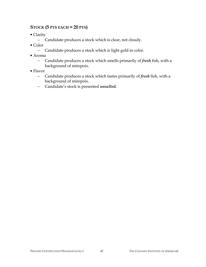### **STOCK (5 PTS EACH = 20 PTS)**

- Clarity
	- − Candidate produces a stock which is clear, not cloudy.
- Color
	- − Candidate produces a stock which is light gold in color.
- Aroma
	- − Candidate produces a stock which smells primarily of *fresh* fish, with a background of mirepoix.
- Flavor
	- − Candidate produces a stock which tastes primarily of *fresh* fish, with a background of mirepoix.
	- − Candidate's stock is presented *unsalted.*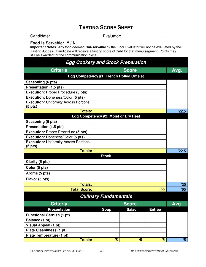# **TASTING SCORE SHEET**

Candidate: \_\_\_\_\_\_\_\_\_\_\_\_\_\_\_\_ Evaluator: \_\_\_\_\_\_\_\_\_\_\_\_\_\_\_\_\_\_\_\_

#### **Food is Servable: Y / N**

**Important Notes:** Any food deemed \***un-servable** by the Floor Evaluator will not be evaluated by the Tasting Judges. Candidate will receive a tasting score of **zero** for that menu segment. Points may still be awarded for the communication piece.

| <b>Egg Cookery and Stock Preparation</b>                          |                                      |              |               |       |  |
|-------------------------------------------------------------------|--------------------------------------|--------------|---------------|-------|--|
| <b>Criteria</b><br><b>Score</b>                                   |                                      |              |               |       |  |
| Egg Competency #1: French Rolled Omelet                           |                                      |              |               | Avg.  |  |
| Seasoning (6 pts)                                                 |                                      |              |               |       |  |
| Presentation (1.5 pts)                                            |                                      |              |               |       |  |
| <b>Execution: Proper Procedure (5 pts)</b>                        |                                      |              |               |       |  |
| Execution: Doneness/Color (5 pts)                                 |                                      |              |               |       |  |
| <b>Execution: Uniformity Across Portions</b><br>$(5 \text{ pts})$ |                                      |              |               |       |  |
| <b>Totals:</b>                                                    |                                      |              |               | /22.5 |  |
|                                                                   | Egg Competency #2: Moist or Dry Heat |              |               |       |  |
| Seasoning (6 pts)                                                 |                                      |              |               |       |  |
| Presentation (1.5 pts)                                            |                                      |              |               |       |  |
| <b>Execution: Proper Procedure (5 pts)</b>                        |                                      |              |               |       |  |
| Execution: Doneness/Color (5 pts)                                 |                                      |              |               |       |  |
| <b>Execution: Uniformity Across Portions</b><br>$(5$ pts)         |                                      |              |               |       |  |
| <b>Totals:</b>                                                    |                                      |              |               | /22.5 |  |
|                                                                   | <b>Stock</b>                         |              |               |       |  |
| Clarity (5 pts)                                                   |                                      |              |               |       |  |
| Color (5 pts)                                                     |                                      |              |               |       |  |
| Aroma (5 pts)                                                     |                                      |              |               |       |  |
| Flavor (5 pts)                                                    |                                      |              |               |       |  |
| <b>Totals:</b>                                                    |                                      |              |               | /20   |  |
| <b>Total Score:</b>                                               |                                      |              | /65           | /65   |  |
|                                                                   | <b>Culinary Fundamentals</b>         |              |               |       |  |
| <b>Criteria</b>                                                   |                                      | <b>Score</b> |               | Avg.  |  |
| <b>Presentation</b>                                               | <b>Soup</b>                          | <b>Salad</b> | <b>Entrée</b> |       |  |
| <b>Functional Garnish (1 pt)</b>                                  |                                      |              |               |       |  |
| Balance (1 pt)                                                    |                                      |              |               |       |  |
| <b>Visual Appeal (1 pt)</b>                                       |                                      |              |               |       |  |
| <b>Plate Cleanliness (1 pt)</b>                                   |                                      |              |               |       |  |
| Plate Temperature (1 pt)                                          |                                      |              |               |       |  |
| <b>Totals:</b>                                                    | /5                                   | /5           | /5            | /5    |  |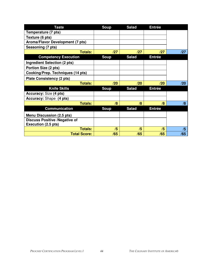| <b>Taste</b>                                                | <b>Soup</b> | <b>Salad</b> | <b>Entrée</b> |     |
|-------------------------------------------------------------|-------------|--------------|---------------|-----|
| Temperature (7 pts)                                         |             |              |               |     |
| Texture (6 pts)                                             |             |              |               |     |
| Aroma/Flavor Development (7 pts)                            |             |              |               |     |
| Seasoning (7 pts)                                           |             |              |               |     |
| <b>Totals:</b>                                              | /27         | /27          | /27           | /27 |
| <b>Competency Execution</b>                                 | <b>Soup</b> | <b>Salad</b> | <b>Entrée</b> |     |
| <b>Ingredient Selection (2 pts)</b>                         |             |              |               |     |
| Portion Size (2 pts)                                        |             |              |               |     |
| Cooking/Prep. Techniques (14 pts)                           |             |              |               |     |
| <b>Plate Consistency (2 pts)</b>                            |             |              |               |     |
| <b>Totals:</b>                                              | /20         | /20          | /20           | /20 |
| <b>Knife Skills</b>                                         | <b>Soup</b> | <b>Salad</b> | <b>Entrée</b> |     |
| Accuracy: Size (4 pts)                                      |             |              |               |     |
| <b>Accuracy: Shape (4 pts)</b>                              |             |              |               |     |
| <b>Totals:</b>                                              | /8          | /8           | /8            | /8  |
| <b>Communication</b>                                        | <b>Soup</b> | <b>Salad</b> | <b>Entrée</b> |     |
| Menu Discussion (2.5 pts)                                   |             |              |               |     |
| <b>Discuss Positive /Negative of</b><br>Execution (2.5 pts) |             |              |               |     |
| <b>Totals:</b>                                              | /5          | /5           | /5            | /5  |
| <b>Total Score:</b>                                         | /65         | /65          | /65           | /65 |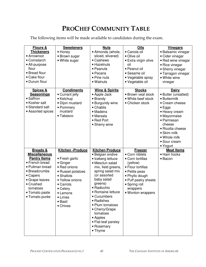# **PROCHEF COMMUNITY TABLE**

The following items will be made available to candidates during the exam.

| <b>Flours &amp;</b>  | <b>Sweeteners</b>      | <b>Nuts</b>               | <b>Oils</b>          | <b>Vinegars</b>     |
|----------------------|------------------------|---------------------------|----------------------|---------------------|
| <b>Thickeners</b>    | • Honey                | · Almonds (whole,         | • Canola oil         | • Balsamic vinegar  |
| • Arrowroot          | • Brown sugar          | sliced, slivered)         | • Olive oil          | • Cider vinegar     |
| • Cornstarch         | • White sugar          | • Cashews                 | • Extra virgin olive | • Red wine vinegar  |
| • All-purpose        |                        | • Hazelnuts               | oil                  | • Rice vinegar      |
| flour                |                        | • Peanuts                 | · Peanut oil         | • Sherry vinegar    |
| • Bread flour        |                        | • Pecans                  | • Sesame oil         | • Tarragon vinegar  |
| • Cake flour         |                        | • Pine nuts               | • Vegetable spray    | • White wine        |
| • Durum flour        |                        | • Walnuts                 | • Vegetable oil      | vinegar             |
|                      |                        |                           |                      |                     |
| <b>Spices &amp;</b>  | <b>Condiments</b>      | <b>Wine &amp; Spirits</b> | <b>Stocks</b>        | <b>Dairy</b>        |
| <b>Seasonings</b>    | • Currant jelly        | • Apple Jack              | • Brown veal stock   | • Butter (unsalted) |
| • Saffron            | • Ketchup              | • Brandy                  | • White beef stock   | • Buttermilk        |
| • Kosher salt        | • Dijon mustard        | • Burgundy wine           | • Chicken stock      | • Cream cheese      |
| • Standard salt      | • Pommery              | • Chablis                 |                      | $\bullet$ Eggs      |
| • Assorted spices    | mustard                | • Madeira                 |                      | • Heavy cream       |
|                      | • Tabasco              | • Marsala                 |                      | • Mayonnaise        |
|                      |                        | • Red Port                |                      | • Parmesan          |
|                      |                        | • Sherry wine             |                      | cheese              |
|                      |                        |                           |                      | • Ricotta cheese    |
|                      |                        |                           |                      | • Skim milk         |
|                      |                        |                           |                      | • Whole milk        |
|                      |                        |                           |                      | • Sour cream        |
|                      |                        |                           |                      | • Yogurt            |
| <b>Breads &amp;</b>  | <b>Kitchen-Produce</b> | <b>Kitchen Produce</b>    | <b>Freezer</b>       | <b>Meat Items</b>   |
| <b>Miscellaneous</b> |                        | • Belgian endive          | • Corn niblets       | • Ham hocks         |
| <b>Pantry Items</b>  | • Fresh garlic         | • Iceberg lettuce         | • Corn tortillas     | • Bacon             |
| • French bread       | • Ginger               | · Mesclun salad           | (yellow)             |                     |
| • Pullman bread      | • Red onions           | mix, field greens,        | • Flour tortillas    |                     |
| • Breadcrumbs        | • Russet potatoes      | spring salad mix          | • Petite peas        |                     |
| • Capers             | • Shallots             | (or assorted              | • Phyllo dough       |                     |
| • Grape leaves       | • Yellow onions        | baby salad                | • Puff pastry sheets |                     |
| • Crushed            | • Carrots              | greens)<br>• Radicchio    | • Spring roll        |                     |
| tomatoes             | • Celery               |                           | wrappers             |                     |
| • Tomato paste       | • Lemons               | • Romaine lettuce         | • Wonton wrappers    |                     |
| • Tomato purée       | $\bullet$ Limes        | • Cucumbers               |                      |                     |
|                      | • Basil                | • Radishes                |                      |                     |
|                      | • Chives               | • Plum tomatoes           |                      |                     |
|                      |                        | • Cherry/Grape            |                      |                     |
|                      |                        | tomatoes                  |                      |                     |
|                      |                        | • Apples                  |                      |                     |
|                      |                        | • Flat-leaf parsley       |                      |                     |
|                      |                        | • Rosemary<br>• Thyme     |                      |                     |
|                      |                        |                           |                      |                     |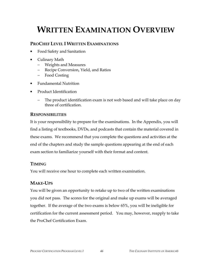# **WRITTEN EXAMINATION OVERVIEW**

### **PROCHEF LEVEL I WRITTEN EXAMINATIONS**

- Food Safety and Sanitation
- Culinary Math
	- − Weights and Measures
	- − Recipe Conversion, Yield, and Ratios
	- − Food Costing
- Fundamental Nutrition
- Product Identification
	- The product identification exam is not web based and will take place on day three of certification.

### **RESPONSIBILITIES**

It is your responsibility to prepare for the examinations. In the Appendix, you will find a listing of textbooks, DVDs, and podcasts that contain the material covered in these exams. We recommend that you complete the questions and activities at the end of the chapters and study the sample questions appearing at the end of each exam section to familiarize yourself with their format and content.

# **TIMING**

You will receive one hour to complete each written examination.

# **MAKE-UPS**

You will be given an opportunity to retake up to two of the written examinations you did not pass. The scores for the original and make up exams will be averaged together. If the average of the two exams is below 65%, you will be ineligible for certification for the current assessment period. You may, however, reapply to take the ProChef Certification Exam.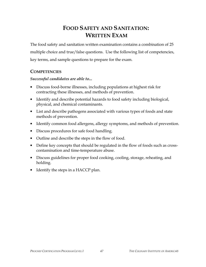# **FOOD SAFETY AND SANITATION: WRITTEN EXAM**

The food safety and sanitation written examination contains a combination of 25 multiple choice and true/false questions. Use the following list of competencies, key terms, and sample questions to prepare for the exam.

#### **COMPETENCIES**

#### *Successful candidates are able to...*

- Discuss food-borne illnesses, including populations at highest risk for contracting these illnesses, and methods of prevention.
- Identify and describe potential hazards to food safety including biological, physical, and chemical contaminants.
- List and describe pathogens associated with various types of foods and state methods of prevention.
- Identify common food allergens, allergy symptoms, and methods of prevention.
- Discuss procedures for safe food handling.
- Outline and describe the steps in the flow of food.
- Define key concepts that should be regulated in the flow of foods such as crosscontamination and time-temperature abuse.
- Discuss guidelines for proper food cooking, cooling, storage, reheating, and holding.
- Identify the steps in a HACCP plan.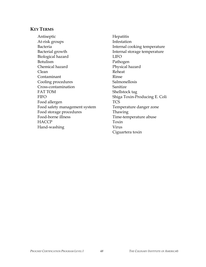#### **KEY TERMS**

Antiseptic Hepatitis At-risk groups Infestation Bacteria **Internal cooking temperature** Bacterial growth Internal storage temperature Biological hazard LIFO Botulism Pathogen Chemical hazard Physical hazard Clean Reheat Contaminant Rinse Cooling procedures Salmonellosis Cross-contamination Sanitize FAT TOM Shellstock tag FIFO Shiga Toxin-Producing E. Coli Food allergen TCS Food safety management system Temperature danger zone Food storage procedures Thawing Food-borne illness Time-temperature abuse HACCP Toxin Hand-washing Virus

Ciguartera toxin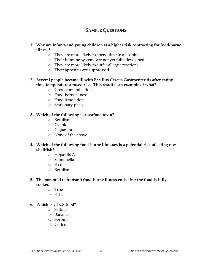### **SAMPLE QUESTIONS**

#### **1. Why are infants and young children at a higher risk contracting for food-borne illness?**

- a. They are more likely to spend time in a hospital
- b. Their immune systems are not yet fully developed
- c. They are more likely to suffer allergic reactions
- d. Their appetites are suppressed

#### **2. Several people became ill with Bacillus Cereus Gastroenteritis after eating time-temperature abused rice. This result is an example of what?**

- a. Cross-contamination
- b. Food-borne illness
- c. Food irradiation
- d. Stationary phase

#### **3. Which of the following is a seafood toxin?**

- a. Botulism
- b. Cyanide
- c. Ciguatera
- d. None of the above

#### **4. Which of the following food-borne illnesses is a potential risk of eating raw shellfish?**

- a. Hepatitis A
- b. Salmonella
- c. E-coli
- d. Botulism

#### **5. The potential to transmit food-borne illness ends after the food is fully cooked.**

- a. True
- b. False

#### **6. Which is a TCS food?**

- a. Saltines
- b. Bananas
- c. Sprouts
- d. Coffee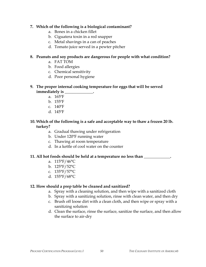#### **7. Which of the following is a biological contaminant?**

- a. Bones in a chicken fillet
- b. Ciguatera toxin in a red snapper
- c. Metal shavings in a can of peaches
- d. Tomato juice served in a pewter pitcher

#### **8. Peanuts and soy products are dangerous for people with what condition?**

- a. FAT TOM
- b. Food allergies
- c. Chemical sensitivity
- d. Poor personal hygiene

#### **9. The proper internal cooking temperature for eggs that will be served immediately is \_\_\_\_\_\_\_\_\_\_\_\_\_\_.**

- a. 165ºF
	- b. 155ºF
	- c. 140ºF
	- d. 145ºF

#### **10. Which of the following is a safe and acceptable way to thaw a frozen 20 lb. turkey?**

- a. Gradual thawing under refrigeration
- b. Under 120ºF running water
- c. Thawing at room temperature
- d. In a kettle of cool water on the counter

#### **11. All hot foods should be held at a temperature no less than \_\_\_\_\_\_\_\_\_\_\_\_\_.**

- a. 115°F/46°C
- b. 125°F/52°C
- c. 135°F/57°C
- d. 155°F/68°C

#### **12. How should a prep table be cleaned and sanitized?**

- a. Spray with a cleaning solution, and then wipe with a sanitized cloth
- b. Spray with a sanitizing solution, rinse with clean water, and then dry
- c. Brush off loose dirt with a clean cloth, and then wipe or spray with a sanitizing solution
- d. Clean the surface, rinse the surface, sanitize the surface, and then allow the surface to air-dry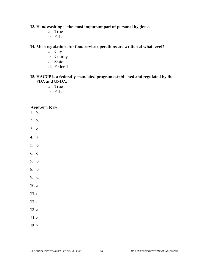#### **13. Handwashing is the most important part of personal hygiene.**

- a. True
- b. False

#### **14. Most regulations for foodservice operations are written at what level?**

- a. City
- b. County
- c. State
- d. Federal

#### **15. HACCP is a federally-mandated program established and regulated by the FDA and USDA.**

- a. True
- b. False

#### **ANSWER KEY**

- 1. b
- 2. b
- 3. c
- 4. a
- 5. b
- 6. c
- 7. b
- 8. b
- 9. d
- 10. a
- 11. c
- 12. d
- 13. a
- 14. c
- 15. b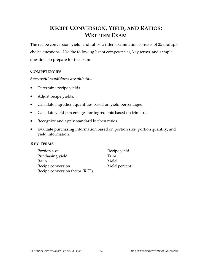# **RECIPE CONVERSION, YIELD, AND RATIOS: WRITTEN EXAM**

The recipe conversion, yield, and ratios written examination consists of 25 multiple choice questions. Use the following list of competencies, key terms, and sample questions to prepare for the exam.

#### **COMPETENCIES**

#### *Successful candidates are able to...*

- Determine recipe yields.
- Adjust recipe yields.
- Calculate ingredient quantities based on yield percentages.
- Calculate yield percentages for ingredients based on trim loss.
- Recognize and apply standard kitchen ratios.
- Evaluate purchasing information based on portion size, portion quantity, and yield information.

### **KEY TERMS**

| Portion size                   | Recipe yield  |
|--------------------------------|---------------|
| Purchasing yield               | Trim          |
| Ratio                          | Yield         |
| Recipe conversion              | Yield percent |
| Recipe conversion factor (RCF) |               |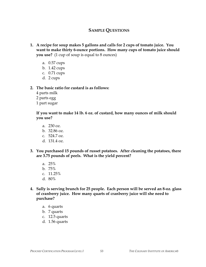### **SAMPLE QUESTIONS**

- **1. A recipe for soup makes 5 gallons and calls for 2 cups of tomato juice. You want to make thirty 6-ounce portions. How many cups of tomato juice should you use?** (1 cup of soup is equal to 8 ounces)
	- a. 0.57 cups
	- b. 1.42 cups
	- c. 0.71 cups
	- d. 2 cups

#### **2. The basic ratio for custard is as follows:**

- 4 parts milk
- 2 parts egg
- 1 part sugar

**If you want to make 14 lb. 6 oz. of custard, how many ounces of milk should you use?** 

- a. 230 oz.
- b. 32.86 oz.
- c. 524.7 oz.
- d. 131.4 oz.
- **3. You purchased 15 pounds of russet potatoes. After cleaning the potatoes, there are 3.75 pounds of peels. What is the yield percent?** 
	- a. 25%
	- b. 75%
	- c. 11.25%
	- d. 80%
- **4. Sally is serving brunch for 25 people. Each person will be served an 8-oz. glass of cranberry juice. How many quarts of cranberry juice will she need to purchase?** 
	- a. 6 quarts
	- b. 7 quarts
	- c. 12.5 quarts
	- d. 1.56 quarts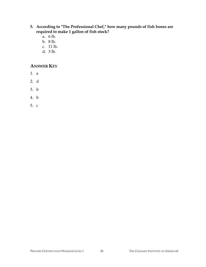- **5. According to "The Professional Chef," how many pounds of fish bones are required to make 1 gallon of fish stock?**
	- a. 6 lb.
	- b. 8 lb.
	- c. 11 lb.
	- d. 3 lb.

### **ANSWER KEY**

- 1. a
- 2. d
- 3. b
- 4. b
- 5. c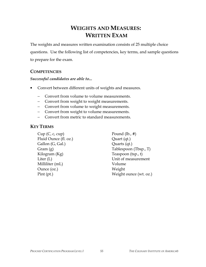# **WEIGHTS AND MEASURES: WRITTEN EXAM**

The weights and measures written examination consists of 25 multiple choice questions. Use the following list of competencies, key terms, and sample questions to prepare for the exam.

#### **COMPETENCIES**

#### *Successful candidates are able to...*

- Convert between different units of weights and measures.
	- − Convert from volume to volume measurements.
	- − Convert from weight to weight measurements.
	- − Convert from volume to weight measurements.
	- − Convert from weight to volume measurements.
	- − Convert from metric to standard measurements.

#### **KEY TERMS**

Cup  $(C, c, cup)$  Pound  $(lb., #)$ Fluid Ounce (fl. oz.) Quart (qt.) Gallon (G, Gal.) Quarts (qt.) Kilogram (Kg) Teaspoon (tsp., t) Milliliter (mL) Volume Ounce (oz.) Weight

Gram (g) Tablespoon (Tbsp., T) Liter (L) Unit of measurement Pint (pt.) Weight ounce (wt. oz.)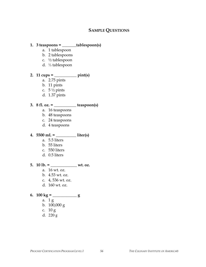#### **SAMPLE QUESTIONS**

#### **1. 3 teaspoons = \_\_\_\_\_\_\_tablespoon(s)**

- a. 1 tablespoon
- b. 2 tablespoons
- c. ½ tablespoon
- d. ⅓ tablespoon

#### **2. 11 cups = \_\_\_\_\_\_\_\_\_\_\_ pint(s)**

- a. 2.75 pints
- b. 11 pints
- c.  $5\frac{1}{2}$  pints
- d. 1.37 pints

#### **3. 8 fl. oz. = \_\_\_\_\_\_\_\_\_\_\_ teaspoon(s)**

- a. 16 teaspoons
- b. 48 teaspoons
- c. 24 teaspoons
- d. 4 teaspoons
- **4. 5500 mL = \_\_\_\_\_\_\_\_\_\_ liter(s)** 
	- a. 5.5 liters
	- b. 55 liters
	- c. 550 liters
	- d. 0.5 liters
- **5. 10 lb. = \_\_\_\_\_\_\_\_\_\_\_\_\_ wt. oz.** 
	- a. 16 wt. oz.
	- b. 4.53 wt. oz.
	- c. 4, 536 wt. oz.
	- d. 160 wt. oz.

# **6. 100 kg = \_\_\_\_\_\_\_\_\_\_\_\_ g**

- a. 1 g
- b. 100,000 g
- c. 10 g
- d. 220 g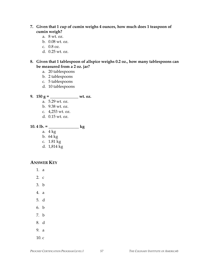#### **7. Given that 1 cup of cumin weighs 4 ounces, how much does 1 teaspoon of cumin weigh?**

- a. 8 wt. oz.
- b. 0.08 wt. oz.
- c. 0.8 oz.
- d. 0.25 wt. oz.

#### **8. Given that 1 tablespoon of allspice weighs 0.2 oz., how many tablespoons can be measured from a 2 oz. jar?**

- a. 20 tablespoons
- b. 2 tablespoons
- c. 5 tablespoons
- d. 10 tablespoons
- **9. 150 g = \_\_\_\_\_\_\_\_\_\_\_\_\_\_ wt. oz.** 
	- a. 5.29 wt. oz.
	- b. 9.38 wt. oz.
	- c. 4,253 wt. oz.
	- d. 0.15 wt. oz.
- **10. 4 lb. = \_\_\_\_\_\_\_\_\_\_\_\_\_\_\_ kg** 
	- a. 4 kg
	- b. 64 kg
	- c. 1.81 kg
	- d. 1,814 kg

#### **ANSWER KEY**

- 1. a
- 2. c
- 3. b
- 4. a
- 5. d
- 6. b
- 
- 7. b
- 8. d
- 9. a
- $10.c$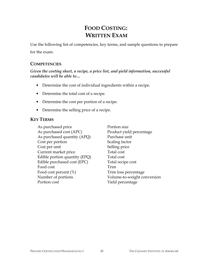# **FOOD COSTING: WRITTEN EXAM**

Use the following list of competencies, key terms, and sample questions to prepare

for the exam.

#### **COMPETENCIES**

#### *Given the costing sheet, a recipe, a price list, and yield information, successful candidates will be able to…*

- Determine the cost of individual ingredients within a recipe.
- Determine the total cost of a recipe.
- Determine the cost per portion of a recipe.
- Determine the selling price of a recipe.

#### **KEY TERMS**

As purchased price Portion size As purchased cost (APC) Product yield percentage As purchased quantity (APQ) Purchase unit Cost per portion Scaling factor Cost per unit Selling price Current market price Total cost Edible portion quantity (EPQ) Total cost Edible purchased cost (EPC) Total recipe cost Food cost Trim Food cost percent (%) Trim loss percentage Number of portions Volume-to-weight conversion Portion cost **Yield percentage**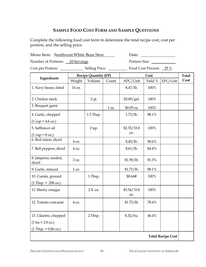### **SAMPLE FOOD COST FORM AND SAMPLE QUESTIONS**

Complete the following food cost form to determine the total recipe cost, cost per portion, and the selling price.

Menu Item: Southwest White Bean Stew Date: Date:

Number of Portions: 10 Servings Portion Size:

Cost per Portion: Selling Price: Food Cost Percent: 25 %

|                                                             | <b>Recipe Quantity (EP)</b> |           | Cost  |                    |         | <b>Total</b> |      |
|-------------------------------------------------------------|-----------------------------|-----------|-------|--------------------|---------|--------------|------|
| Ingredients                                                 | Weight                      | Volume    | Count | APC/Unit           | Yield % | EPC/Unit     | Cost |
| 1. Navy beans, dried                                        | 14 oz.                      |           |       | \$.47/1b.          | 100%    |              |      |
| 2. Chicken stock                                            |                             | 2 qt.     |       | \$2.00/gal.        | 100%    |              |      |
| 3. Bouquet garni                                            |                             |           | 1 ea. | \$0.05 ea.         | 100%    |              |      |
| 4. Garlic, chopped<br>$(1 cup = 4.6 oz.)$                   |                             | 1.5 Tbsp. |       | 1.73/1b.           | 88.1%   |              |      |
| 5. Safflower oil<br>$(1 \text{ cup} = 8 \text{ oz.})$       |                             | 2 tsp.    |       | \$2.35/33.8<br>OZ. | 100%    |              |      |
| $\overline{6}$ . Red onion, diced                           | 4 oz.                       |           |       | \$.40/lb.          | 90.6%   |              |      |
| 7. Bell peppers, diced                                      | 4 oz.                       |           |       | \$.61/lb.          | 84.4%   |              |      |
| 8. Jalapeno, seeded,<br>diced                               | 2 oz.                       |           |       | \$1.59/lb.         | 81.3%   |              |      |
| 9. Garlic, minced                                           | 1 oz.                       |           |       | \$1.73/1b.         | 88.1%   |              |      |
| 10. Cumin, ground<br>$(1 \text{ Tbsp.} = .208 \text{ oz.})$ |                             | 1 Tbsp.   |       | \$8.64#            | 100%    |              |      |
| 11. Sherry vinegar                                          |                             | 2 fl. oz. |       | \$3.54/33.8<br>OZ. | 100%    |              |      |
| 12. Tomato concassé                                         | 4 oz.                       |           |       | \$1.73/1b.         | 78.4%   |              |      |
| 13. Cilantro, chopped<br>$(1 \text{ bu} = 2.8 \text{ oz.})$ |                             | 2 Tbsp.   |       | \$.32/bu.          | 46.4%   |              |      |

 $(1$  Tbsp. = 0.86 oz.)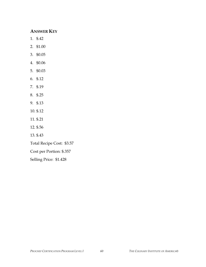#### **ANSWER KEY**

- 1. \$.42
- 2. \$1.00
- 3. \$0.05
- 4. \$0.06
- 5. \$0.03
- 6. \$.12
- 7. \$.19
- 8. \$.25
- 9. \$.13
- 10. \$.12
- 11. \$.21
- 12. \$.56
- 13. \$.43

Total Recipe Cost: \$3.57

Cost per Portion: \$.357

Selling Price: \$1.428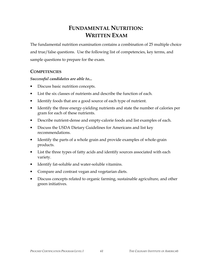# **FUNDAMENTAL NUTRITION: WRITTEN EXAM**

The fundamental nutrition examination contains a combination of 25 multiple choice and true/false questions. Use the following list of competencies, key terms, and sample questions to prepare for the exam.

#### **COMPETENCIES**

#### *Successful candidates are able to...*

- Discuss basic nutrition concepts.
- List the six classes of nutrients and describe the function of each.
- Identify foods that are a good source of each type of nutrient.
- Identify the three energy-yielding nutrients and state the number of calories per gram for each of these nutrients.
- Describe nutrient-dense and empty-calorie foods and list examples of each.
- Discuss the USDA Dietary Guidelines for Americans and list key recommendations.
- Identify the parts of a whole grain and provide examples of whole-grain products.
- List the three types of fatty acids and identify sources associated with each variety.
- Identify fat-soluble and water-soluble vitamins.
- Compare and contrast vegan and vegetarian diets.
- Discuss concepts related to organic farming, sustainable agriculture, and other green initiatives.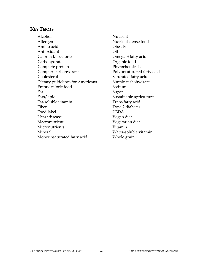#### **KEY TERMS**

Alcohol Nutrient Allergen Nutrient-dense food Amino acid Obesity Antioxidant Oil Calorie/kilocalorie Omega-3 fatty acid Carbohydrate Organic food Complete protein Phytochemicals Complex carbohydrate **Polyunsaturated fatty acid** Cholesterol Saturated fatty acid Dietary guidelines for Americans Simple carbohydrate Empty-calorie food Sodium Fat Sugar Fats/lipid Sustainable agriculture Fat-soluble vitamin Trans fatty acid Fiber Type 2 diabetes Food label **USDA** Heart disease Vegan diet Macronutrient Vegetarian diet Micronutrients Vitamin Mineral Water-soluble vitamin Monounsaturated fatty acid Whole grain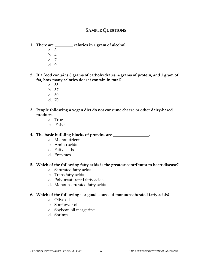#### **SAMPLE QUESTIONS**

- **1. There are \_\_\_\_\_\_\_\_\_ calories in 1 gram of alcohol.** 
	- a. 3
	- b. 4
	- c. 7
	- d. 9

**2. If a food contains 8 grams of carbohydrates, 4 grams of protein, and 1 gram of fat, how many calories does it contain in total?** 

- a. 55
- b. 57
- c. 60
- d. 70
- **3. People following a vegan diet do not consume cheese or other dairy-based products.** 
	- a. True
	- b. False

**4. The basic building blocks of proteins are \_\_\_\_\_\_\_\_\_\_\_\_\_\_\_\_\_\_.** 

- a. Micronutrients
- b. Amino acids
- c. Fatty acids
- d. Enzymes

#### **5. Which of the following fatty acids is the greatest contributor to heart disease?**

- a. Saturated fatty acids
- b. Trans fatty acids
- c. Polyunsaturated fatty acids
- d. Monounsaturated fatty acids

#### **6. Which of the following is a good source of monounsaturated fatty acids?**

- a. Olive oil
- b. Sunflower oil
- c. Soybean oil margarine
- d. Shrimp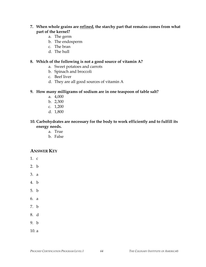#### **7. When whole grains are refined, the starchy part that remains comes from what part of the kernel?**

- a. The germ
- b. The endosperm
- c. The bran
- d. The hull

#### **8. Which of the following is not a good source of vitamin A?**

- a. Sweet potatoes and carrots
- b. Spinach and broccoli
- c. Beef liver
- d. They are all good sources of vitamin A

#### **9. How many milligrams of sodium are in one teaspoon of table salt?**

- a. 4,000
- b. 2,300
- c. 1,200
- d. 1,800

#### **10. Carbohydrates are necessary for the body to work efficiently and to fulfill its energy needs.**

- a. True
- b. False

#### **ANSWER KEY**

- 1. c
- 2. b
- 3. a
- 4. b
- 5. b
- 6. a
- 7. b
- 8. d
- 9. b
- $10a$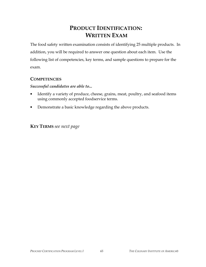# **PRODUCT IDENTIFICATION: WRITTEN EXAM**

The food safety written examination consists of identifying 25 multiple products. In addition, you will be required to answer one question about each item. Use the following list of competencies, key terms, and sample questions to prepare for the exam.

#### **COMPETENCIES**

#### *Successful candidates are able to...*

- Identify a variety of produce, cheese, grains, meat, poultry, and seafood items using commonly accepted foodservice terms.
- Demonstrate a basic knowledge regarding the above products.

**KEY TERMS** *see next page*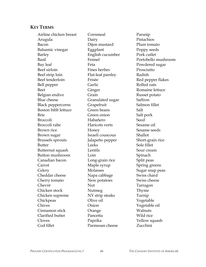#### **KEY TERMS**

Airline chicken breast Cornmeal Parsnip Arugula Dairy Pistachios Bacon Dijon mustard Plum tomato Balsamic vinegar **Eggplant** Poppy seeds Barley English cucumber Pork cutlet Basil Fennel Portobello mushroom Bay leaf Feta Feta Powdered sugar Beef sirloin Fines herbes Prosciutto Beef strip loin Flat-leaf parsley Radish Beef tenderloin Frisée Red pepper flakes Bell pepper Garlic Garlic Rolled oats Beet Ginger Romaine lettuce Belgian endive Grain Grain Russet potato Blue cheese Granulated sugar Saffron Black peppercorns Grapefruit Salmon fillet Boston bibb lettuce Green beans Salt Brie Green onion Salt pork Broccoli Habañero Seed Broccoli rabe **Haricots** verts Sesame oil Brown rice **Honey** Honey Sesame seeds Brown sugar Israeli couscous Shallot Brussels sprouts Jalapeño pepper Short-grain rice Butter Leeks Sole fillet Butternut squash Lentils Sour cream Button mushroom Loin Comes Spinach Canadian bacon Long-grain rice Split peas Carrot Maple syrup Spring greens Celery Molasses Sugar snap peas Cheddar cheese Napa cabbage Swiss chard Cherry tomato New potatoes Swiss cheese Chevré Nut Nut Tarragon Chicken stock Mutmeg Thyme Chicken supreme NY strip steaks Turnip Chickpeas Olive oil Vegetable Chives Onion Vegetable oil Cinnamon stick Orange Walnuts Clarified butter Pancetta Wild rice Cloves Paprika Yellow squash Cod fillet Parmesan cheese Zucchini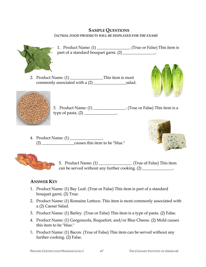#### **SAMPLE QUESTIONS** *(ACTUAL FOOD PRODUCTS WILL BE DISPLAYED FOR THE EXAM)*



- 1. Product Name: (1) \_\_\_\_\_\_\_\_\_\_\_\_\_\_\_. (True or False) This item is part of a standard bouquet garni. (2) \_\_\_\_\_\_\_\_\_\_\_\_\_\_\_.
- 2. Product Name:  $(1)$  \_\_\_\_\_\_\_\_\_\_\_\_\_\_\_\_.This item is most commonly associated with a (2) \_\_\_\_\_\_\_\_\_\_\_\_\_\_\_\_salad.





- 3. Product Name: (1) \_\_\_\_\_\_\_\_\_\_\_\_\_\_\_\_. (True or False) This item is a type of pasta.  $(2)$  \_\_\_\_\_\_\_\_\_\_\_\_\_\_\_\_.
- 4. Product Name: (1) \_\_\_\_\_\_\_\_\_\_\_\_\_\_\_\_. (2) \_\_\_\_\_\_\_\_\_\_\_\_\_\_\_\_causes this item to be "blue."





5. Product Name: (1) \_\_\_\_\_\_\_\_\_\_\_\_\_\_\_\_. (True of False) This item can be served without any further cooking.  $(2)$  \_\_\_\_\_\_\_\_\_\_\_\_\_\_.

# **ANSWER KEY**

- 1. Product Name: (1) Bay Leaf. (True or False) This item is part of a standard bouquet garni. (2) True.
- 2. Product Name: (1) Romaine Lettuce. This item is most commonly associated with a (2) Caesar Salad.
- 3. Product Name: (1) Barley. (True or False) This item is a type of pasta. (2) False.
- 4. Product Name: (1) Gorgonzola, Roquefort, and/or Blue Cheese. (2) Mold causes this item to be "blue."
- 5. Product Name: (1) Bacon. (True of False) This item can be served without any further cooking. (2) False.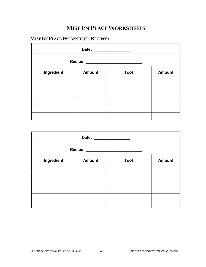# **MISE EN PLACE WORKSHEETS**

# **MISE EN PLACE WORKSHEET (RECIPES)**

| Date: _________________                |               |             |               |  |
|----------------------------------------|---------------|-------------|---------------|--|
| Recipe: ______________________________ |               |             |               |  |
| Ingredient                             | <b>Amount</b> | <b>Tool</b> | <b>Amount</b> |  |
|                                        |               |             |               |  |
|                                        |               |             |               |  |
|                                        |               |             |               |  |
|                                        |               |             |               |  |
|                                        |               |             |               |  |
|                                        |               |             |               |  |

| Recipe: ___________________ |               |      |               |  |
|-----------------------------|---------------|------|---------------|--|
| Ingredient                  | <b>Amount</b> | Tool | <b>Amount</b> |  |
|                             |               |      |               |  |
|                             |               |      |               |  |
|                             |               |      |               |  |
|                             |               |      |               |  |
|                             |               |      |               |  |
|                             |               |      |               |  |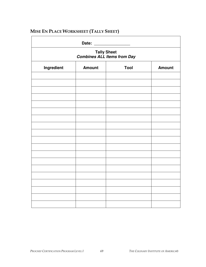| Tally Sheet<br>Combines ALL Items from Day |  |  |  |  |  |
|--------------------------------------------|--|--|--|--|--|
|                                            |  |  |  |  |  |
|                                            |  |  |  |  |  |
|                                            |  |  |  |  |  |
|                                            |  |  |  |  |  |
|                                            |  |  |  |  |  |
|                                            |  |  |  |  |  |
|                                            |  |  |  |  |  |
|                                            |  |  |  |  |  |
|                                            |  |  |  |  |  |
|                                            |  |  |  |  |  |
|                                            |  |  |  |  |  |
|                                            |  |  |  |  |  |
|                                            |  |  |  |  |  |
|                                            |  |  |  |  |  |
|                                            |  |  |  |  |  |
|                                            |  |  |  |  |  |
|                                            |  |  |  |  |  |
|                                            |  |  |  |  |  |
|                                            |  |  |  |  |  |
|                                            |  |  |  |  |  |

# **MISE EN PLACE WORKSHEET (TALLY SHEET)**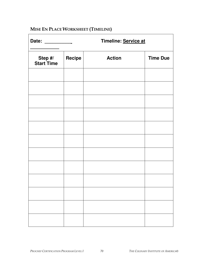# **MISE EN PLACE WORKSHEET (TIMELINE)**

| Date:                        | Timeline: Service at |               |                 |  |
|------------------------------|----------------------|---------------|-----------------|--|
| Step #/<br><b>Start Time</b> | Recipe               | <b>Action</b> | <b>Time Due</b> |  |
|                              |                      |               |                 |  |
|                              |                      |               |                 |  |
|                              |                      |               |                 |  |
|                              |                      |               |                 |  |
|                              |                      |               |                 |  |
|                              |                      |               |                 |  |
|                              |                      |               |                 |  |
|                              |                      |               |                 |  |
|                              |                      |               |                 |  |
|                              |                      |               |                 |  |
|                              |                      |               |                 |  |
|                              |                      |               |                 |  |